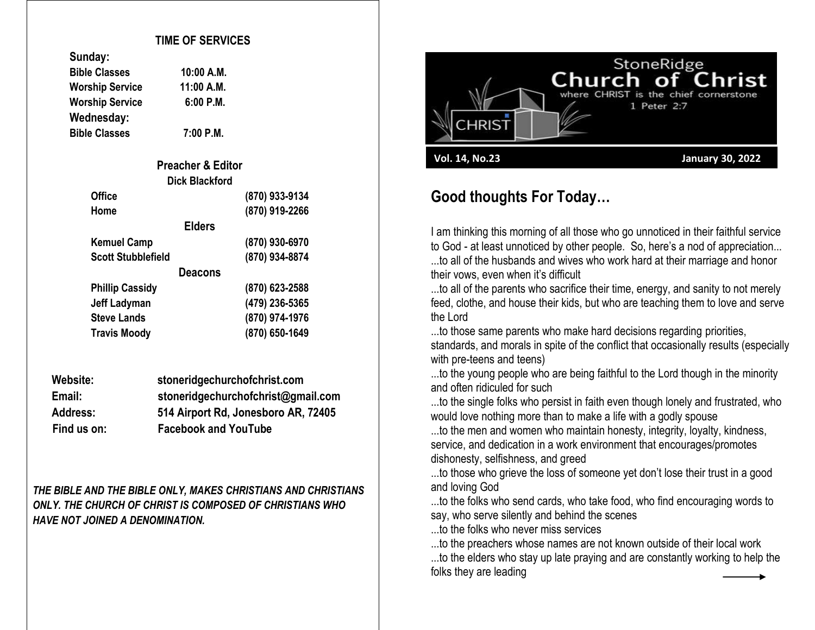#### **TIME OF SERVICES**

| sungay:                |            |
|------------------------|------------|
| <b>Bible Classes</b>   | 10:00 A.M. |
| <b>Worship Service</b> | 11:00 A.M. |
| <b>Worship Service</b> | 6:00 P.M.  |
| Wednesday:             |            |
| <b>Bible Classes</b>   | 7:00 P.M.  |

**Sunday:**

| <b>Preacher &amp; Editor</b> |                |
|------------------------------|----------------|
| <b>Dick Blackford</b>        |                |
| <b>Office</b>                | (870) 933-9134 |
| Home                         | (870) 919-2266 |
| <b>Elders</b>                |                |
| <b>Kemuel Camp</b>           | (870) 930-6970 |
| <b>Scott Stubblefield</b>    | (870) 934-8874 |
| <b>Deacons</b>               |                |
| <b>Phillip Cassidy</b>       | (870) 623-2588 |
| <b>Jeff Ladyman</b>          | (479) 236-5365 |
| <b>Steve Lands</b>           | (870) 974-1976 |
| <b>Travis Moody</b>          | (870) 650-1649 |

| Website:        | stoneridgechurchofchrist.com        |
|-----------------|-------------------------------------|
| Email:          | stoneridgechurchofchrist@gmail.com  |
| <b>Address:</b> | 514 Airport Rd, Jonesboro AR, 72405 |
| Find us on:     | <b>Facebook and YouTube</b>         |

*THE BIBLE AND THE BIBLE ONLY, MAKES CHRISTIANS AND CHRISTIANS ONLY. THE CHURCH OF CHRIST IS COMPOSED OF CHRISTIANS WHO HAVE NOT JOINED A DENOMINATION.*



## **Good thoughts For Today…**

I am thinking this morning of all those who go unnoticed in their faithful service to God - at least unnoticed by other people. So, here's a nod of appreciation... ...to all of the husbands and wives who work hard at their marriage and honor their vows, even when it's difficult

...to all of the parents who sacrifice their time, energy, and sanity to not merely feed, clothe, and house their kids, but who are teaching them to love and serve the Lord

...to those same parents who make hard decisions regarding priorities, standards, and morals in spite of the conflict that occasionally results (especially with pre-teens and teens)

...to the young people who are being faithful to the Lord though in the minority and often ridiculed for such

...to the single folks who persist in faith even though lonely and frustrated, who would love nothing more than to make a life with a godly spouse

...to the men and women who maintain honesty, integrity, loyalty, kindness, service, and dedication in a work environment that encourages/promotes dishonesty, selfishness, and greed

...to those who grieve the loss of someone yet don't lose their trust in a good and loving God

...to the folks who send cards, who take food, who find encouraging words to say, who serve silently and behind the scenes

...to the folks who never miss services

...to the preachers whose names are not known outside of their local work

...to the elders who stay up late praying and are constantly working to help the folks they are leading